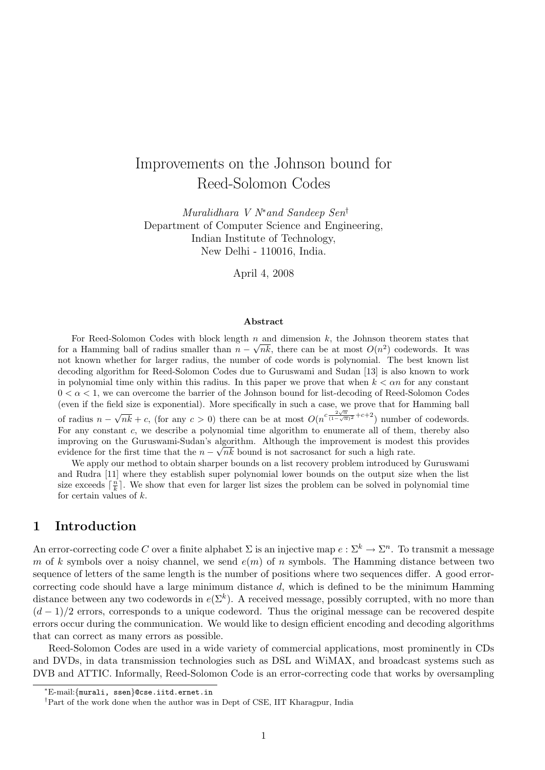# Improvements on the Johnson bound for Reed-Solomon Codes

Muralidhara V N<sup>∗</sup>and Sandeep Sen† Department of Computer Science and Engineering, Indian Institute of Technology, New Delhi - 110016, India.

April 4, 2008

#### Abstract

For Reed-Solomon Codes with block length  $n$  and dimension k, the Johnson theorem states that for a Hamming ball of radius smaller than  $n - \sqrt{nk}$ , there can be at most  $O(n^2)$  codewords. It was not known whether for larger radius, the number of code words is polynomial. The best known list decoding algorithm for Reed-Solomon Codes due to Guruswami and Sudan [13] is also known to work in polynomial time only within this radius. In this paper we prove that when  $k < \alpha n$  for any constant  $0 < \alpha < 1$ , we can overcome the barrier of the Johnson bound for list-decoding of Reed-Solomon Codes (even if the field size is exponential). More specifically in such a case, we prove that for Hamming ball of radius  $n -$ √  $nk + c$ , (for any  $c > 0$ ) there can be at most  $O(n^{c \frac{2\sqrt{\alpha}}{(1-\sqrt{\alpha})^2} + c+2})$  number of codewords. For any constant  $c$ , we describe a polynomial time algorithm to enumerate all of them, thereby also improving on the Guruswami-Sudan's algorithm. Although the improvement is modest this provides evidence for the first time that the  $n - \sqrt{nk}$  bound is not sacrosanct for such a high rate.

We apply our method to obtain sharper bounds on a list recovery problem introduced by Guruswami and Rudra [11] where they establish super polynomial lower bounds on the output size when the list size exceeds  $\lceil \frac{n}{k} \rceil$ . We show that even for larger list sizes the problem can be solved in polynomial time for certain values of  $k$ .

# 1 Introduction

An error-correcting code C over a finite alphabet  $\Sigma$  is an injective map  $e: \Sigma^k \to \Sigma^n$ . To transmit a message m of k symbols over a noisy channel, we send  $e(m)$  of n symbols. The Hamming distance between two sequence of letters of the same length is the number of positions where two sequences differ. A good errorcorrecting code should have a large minimum distance  $d$ , which is defined to be the minimum Hamming distance between any two codewords in  $e(\Sigma^k)$ . A received message, possibly corrupted, with no more than  $(d-1)/2$  errors, corresponds to a unique codeword. Thus the original message can be recovered despite errors occur during the communication. We would like to design efficient encoding and decoding algorithms that can correct as many errors as possible.

Reed-Solomon Codes are used in a wide variety of commercial applications, most prominently in CDs and DVDs, in data transmission technologies such as DSL and WiMAX, and broadcast systems such as DVB and ATTIC. Informally, Reed-Solomon Code is an error-correcting code that works by oversampling

<sup>∗</sup>E-mail:{murali, ssen}@cse.iitd.ernet.in

<sup>†</sup>Part of the work done when the author was in Dept of CSE, IIT Kharagpur, India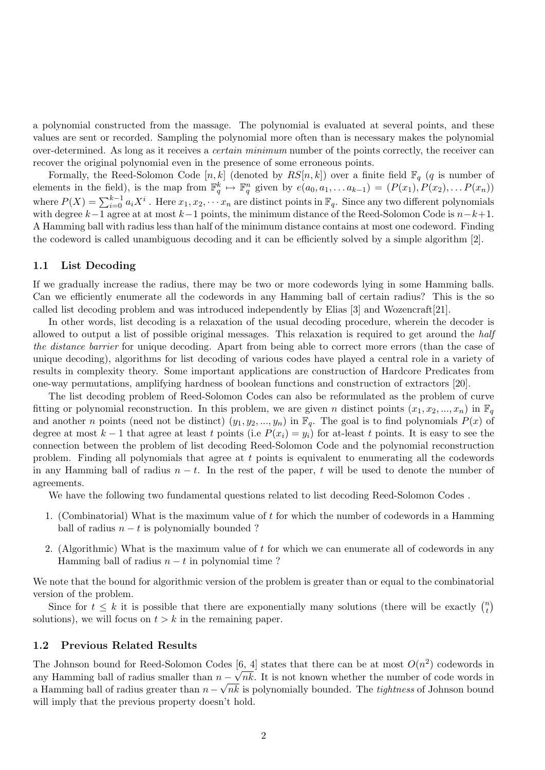a polynomial constructed from the massage. The polynomial is evaluated at several points, and these values are sent or recorded. Sampling the polynomial more often than is necessary makes the polynomial over-determined. As long as it receives a certain minimum number of the points correctly, the receiver can recover the original polynomial even in the presence of some erroneous points.

Formally, the Reed-Solomon Code [n, k] (denoted by  $RS[n, k]$ ) over a finite field  $\mathbb{F}_q$  (q is number of elements in the field), is the map from  $\mathbb{F}_q^k \mapsto \mathbb{F}_q^n$  given by  $e(a_0, a_1, \ldots a_{k-1}) = (P(x_1), P(x_2), \ldots P(x_n))$ where  $P(X) = \sum_{i=0}^{k-1} a_i X^i$ . Here  $x_1, x_2, \dots x_n$  are distinct points in  $\mathbb{F}_q$ . Since any two different polynomials with degree  $k-\overline{1}$  agree at at most  $k-1$  points, the minimum distance of the Reed-Solomon Code is  $n-k+1$ . A Hamming ball with radius less than half of the minimum distance contains at most one codeword. Finding the codeword is called unambiguous decoding and it can be efficiently solved by a simple algorithm [2].

### 1.1 List Decoding

If we gradually increase the radius, there may be two or more codewords lying in some Hamming balls. Can we efficiently enumerate all the codewords in any Hamming ball of certain radius? This is the so called list decoding problem and was introduced independently by Elias [3] and Wozencraft[21].

In other words, list decoding is a relaxation of the usual decoding procedure, wherein the decoder is allowed to output a list of possible original messages. This relaxation is required to get around the half the distance barrier for unique decoding. Apart from being able to correct more errors (than the case of unique decoding), algorithms for list decoding of various codes have played a central role in a variety of results in complexity theory. Some important applications are construction of Hardcore Predicates from one-way permutations, amplifying hardness of boolean functions and construction of extractors [20].

The list decoding problem of Reed-Solomon Codes can also be reformulated as the problem of curve fitting or polynomial reconstruction. In this problem, we are given n distinct points  $(x_1, x_2, ..., x_n)$  in  $\mathbb{F}_q$ and another n points (need not be distinct)  $(y_1, y_2, ..., y_n)$  in  $\mathbb{F}_q$ . The goal is to find polynomials  $P(x)$  of degree at most  $k-1$  that agree at least t points (i.e  $P(x_i) = y_i$ ) for at-least t points. It is easy to see the connection between the problem of list decoding Reed-Solomon Code and the polynomial reconstruction problem. Finding all polynomials that agree at t points is equivalent to enumerating all the codewords in any Hamming ball of radius  $n - t$ . In the rest of the paper, t will be used to denote the number of agreements.

We have the following two fundamental questions related to list decoding Reed-Solomon Codes .

- 1. (Combinatorial) What is the maximum value of t for which the number of codewords in a Hamming ball of radius  $n - t$  is polynomially bounded ?
- 2. (Algorithmic) What is the maximum value of t for which we can enumerate all of codewords in any Hamming ball of radius  $n - t$  in polynomial time?

We note that the bound for algorithmic version of the problem is greater than or equal to the combinatorial version of the problem.

Since for  $t \leq k$  it is possible that there are exponentially many solutions (there will be exactly  $\binom{n}{k}$  $\binom{n}{t}$ solutions), we will focus on  $t > k$  in the remaining paper.

### 1.2 Previous Related Results

The Johnson bound for Reed-Solomon Codes [6, 4] states that there can be at most  $O(n^2)$  codewords in any Hamming ball of radius smaller than  $n - \sqrt{n}k$ . It is not known whether the number of code words in a Hamming ball of radius greater than  $n - \sqrt{nk}$  is polynomially bounded. The *tightness* of Johnson bound will imply that the previous property doesn't hold.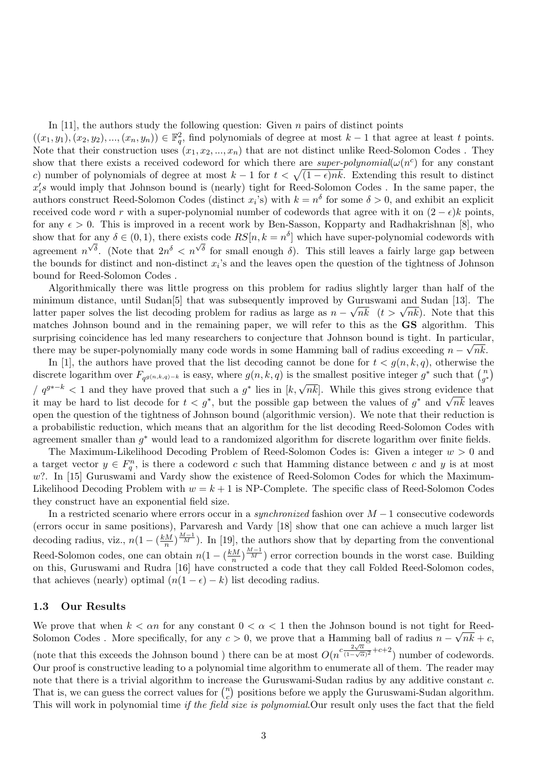In [11], the authors study the following question: Given  $n$  pairs of distinct points

 $((x_1,y_1),(x_2,y_2),...,(x_n,y_n)) \in \mathbb{F}_q^2$ , find polynomials of degree at most  $k-1$  that agree at least t points. Note that their construction uses  $(x_1, x_2, ..., x_n)$  that are not distinct unlike Reed-Solomon Codes. They show that there exists a received codeword for which there are *super-polynomial*( $\omega(n^c)$ ) for any constant c) number of polynomials of degree at most  $k-1$  for  $t < \sqrt{(1-\epsilon)nk}$ . Extending this result to distinct  $x_i$ 's would imply that Johnson bound is (nearly) tight for Reed-Solomon Codes. In the same paper, the authors construct Reed-Solomon Codes (distinct  $x_i$ 's) with  $k = n^{\delta}$  for some  $\delta > 0$ , and exhibit an explicit received code word r with a super-polynomial number of codewords that agree with it on  $(2 - \epsilon)k$  points, for any  $\epsilon > 0$ . This is improved in a recent work by Ben-Sasson, Kopparty and Radhakrishnan [8], who show that for any  $\delta \in (0,1)$ , there exists code  $RS[n, k = n^{\delta}]$  which have super-polynomial codewords with agreement  $n^{\sqrt{\delta}}$ . (Note that  $2n^{\delta} < n^{\sqrt{\delta}}$  for small enough  $\delta$ ). This still leaves a fairly large gap between the bounds for distinct and non-distinct  $x_i$ 's and the leaves open the question of the tightness of Johnson bound for Reed-Solomon Codes .

Algorithmically there was little progress on this problem for radius slightly larger than half of the minimum distance, until Sudan<sup>[5]</sup> that was subsequently improved by Guruswami and Sudan [13]. The minimum distance, until Sudan<sub>[9]</sub> that was subsequently improved by Guruswami and Sudan [13]. The latter paper solves the list decoding problem for radius as large as  $n - \sqrt{nk}$  ( $t > \sqrt{nk}$ ). Note that this matches Johnson bound and in the remaining paper, we will refer to this as the GS algorithm. This surprising coincidence has led many researchers to conjecture that Johnson bound is tight. In particular, there may be super-polynomially many code words in some Hamming ball of radius exceeding  $n - \sqrt{n}k$ .

In [1], the authors have proved that the list decoding cannot be done for  $t < g(n, k, q)$ , otherwise the discrete logarithm over  $F_{q^{g(n,k,q)-k}}$  is easy, where  $g(n, k, q)$  is the smallest positive integer  $g^*$  such that  $\binom{n}{q}$  $\binom{n}{g^*}$  $\sqrt{q^{g^{*-k}}}$  < 1 and they have proved that such a  $g^*$  lies in  $[k, \sqrt{nk}]$ . While this gives strong evidence that  $\sqrt{q^{g^{*-k}}}$  $i'$   $q^{3}$   $\leq$  1 and they have proved that such a g hes in  $\kappa$ ,  $\gamma n \kappa$ . While this gives strong evidence that it may be hard to list decode for  $t < g^*$ , but the possible gap between the values of  $g^*$  and  $\sqrt{nk}$  open the question of the tightness of Johnson bound (algorithmic version). We note that their reduction is a probabilistic reduction, which means that an algorithm for the list decoding Reed-Solomon Codes with agreement smaller than  $g^*$  would lead to a randomized algorithm for discrete logarithm over finite fields.

The Maximum-Likelihood Decoding Problem of Reed-Solomon Codes is: Given a integer  $w > 0$  and a target vector  $y \in F_q^n$ , is there a codeword c such that Hamming distance between c and y is at most  $w$ ?. In [15] Guruswami and Vardy show the existence of Reed-Solomon Codes for which the Maximum-Likelihood Decoding Problem with  $w = k + 1$  is NP-Complete. The specific class of Reed-Solomon Codes they construct have an exponential field size.

In a restricted scenario where errors occur in a *synchronized* fashion over  $M-1$  consecutive codewords (errors occur in same positions), Parvaresh and Vardy [18] show that one can achieve a much larger list decoding radius, viz.,  $n(1 - (\frac{kM}{n})$  $\frac{M}{n}$ ) $\frac{M-1}{M}$ ). In [19], the authors show that by departing from the conventional Reed-Solomon codes, one can obtain  $n(1 - (\frac{kM}{n})$  $\frac{1}{2} \left( \frac{M-1}{M} \right)$  error correction bounds in the worst case. Building on this, Guruswami and Rudra [16] have constructed a code that they call Folded Reed-Solomon codes, that achieves (nearly) optimal  $(n(1 - \epsilon) - k)$  list decoding radius.

## 1.3 Our Results

We prove that when  $k < \alpha n$  for any constant  $0 < \alpha < 1$  then the Johnson bound is not tight for Reed-Solomon Codes . More specifically, for any  $c > 0$ , we prove that a Hamming ball of radius  $n - \sqrt{n}k + c$ , (note that this exceeds the Johnson bound) there can be at most  $O(n^{c\frac{2\sqrt{\alpha}}{(1-\sqrt{\alpha})}})$  $\frac{2\sqrt{\alpha}}{(1-\sqrt{\alpha})^2}+c+2$ ) number of codewords. Our proof is constructive leading to a polynomial time algorithm to enumerate all of them. The reader may note that there is a trivial algorithm to increase the Guruswami-Sudan radius by any additive constant c. That is, we can guess the correct values for  $\binom{n}{c}$  $_{c}^{n}$ ) positions before we apply the Guruswami-Sudan algorithm. This will work in polynomial time if the field size is polynomial.Our result only uses the fact that the field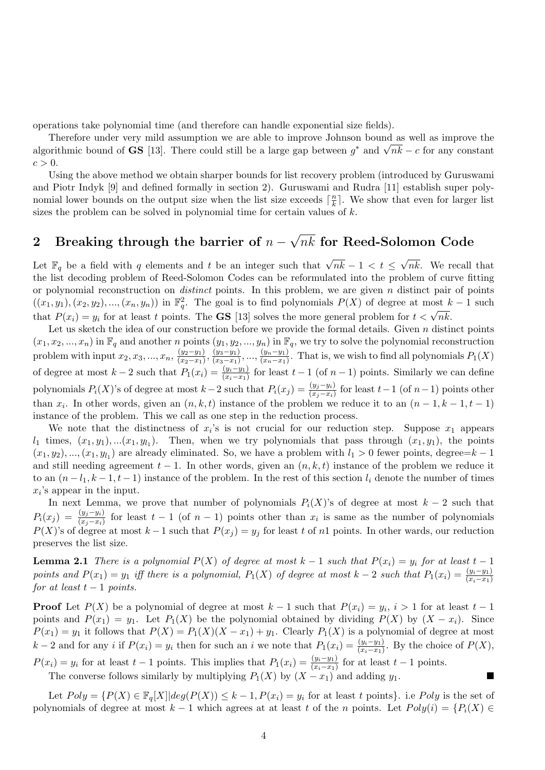operations take polynomial time (and therefore can handle exponential size fields).

Therefore under very mild assumption we are able to improve Johnson bound as well as improve the Therefore under very mild assumption we are able to improve Johnson bound as well as improve the algorithmic bound of **GS** [13]. There could still be a large gap between  $g^*$  and  $\sqrt{nk} - c$  for any constant  $c > 0$ .

Using the above method we obtain sharper bounds for list recovery problem (introduced by Guruswami and Piotr Indyk [9] and defined formally in section 2). Guruswami and Rudra [11] establish super polynomial lower bounds on the output size when the list size exceeds  $\lceil \frac{n}{k} \rceil$  $\frac{n}{k}$ . We show that even for larger list sizes the problem can be solved in polynomial time for certain values of  $k$ .

#### 2 Breaking through the barrier of  $n -$ √  $nk$  for Reed-Solomon Code

Let  $\mathbb{F}_q$  be a field with q elements and t be an integer such that  $\sqrt{nk} - 1 < t \leq$ √ nk. We recall that the list decoding problem of Reed-Solomon Codes can be reformulated into the problem of curve fitting or polynomial reconstruction on *distinct* points. In this problem, we are given  $n$  distinct pair of points  $((x_1,y_1),(x_2,y_2),...,(x_n,y_n))$  in  $\mathbb{F}_q^2$ . The goal is to find polynomials  $P(X)$  of degree at most  $k-1$  such that  $P(x_i) = y_i$  for at least t points. The **GS** [13] solves the more general problem for  $t < \sqrt{n}k$ .

Let us sketch the idea of our construction before we provide the formal details. Given  $n$  distinct points  $(x_1, x_2, ..., x_n)$  in  $\mathbb{F}_q$  and another n points  $(y_1, y_2, ..., y_n)$  in  $\mathbb{F}_q$ , we try to solve the polynomial reconstruction problem with input  $x_2, x_3, ..., x_n, \frac{(y_2-y_1)}{(x_2-x_1)}$  $\frac{(y_2-y_1)}{(x_2-x_1)}, \frac{(y_3-y_1)}{(x_3-x_1)}$  $\frac{(y_3-y_1)}{(x_3-x_1)}, \ldots, \frac{(y_n-y_1)}{(x_n-x_1)}$  $\frac{(y_n-y_1)}{(x_n-x_1)}$ . That is, we wish to find all polynomials  $P_1(X)$ of degree at most  $k-2$  such that  $P_1(x_i) = \frac{(y_i-y_1)}{(x_i-x_1)}$  for least  $t-1$  (of  $n-1$ ) points. Similarly we can define polynomials  $P_i(X)$ 's of degree at most  $k-2$  such that  $P_i(x_j) = \frac{(y_j - y_i)}{(x_j - x_i)}$  for least  $t-1$  (of  $n-1$ ) points other than  $x_i$ . In other words, given an  $(n, k, t)$  instance of the problem we reduce it to an  $(n - 1, k - 1, t - 1)$ instance of the problem. This we call as one step in the reduction process.

We note that the distinctness of  $x_i$ 's is not crucial for our reduction step. Suppose  $x_1$  appears  $l_1$  times,  $(x_1, y_1), \ldots, (x_1, y_{l_1})$ . Then, when we try polynomials that pass through  $(x_1, y_1)$ , the points  $(x_1, y_2), ..., (x_1, y_{l_1})$  are already eliminated. So, we have a problem with  $l_1 > 0$  fewer points, degree= $k - 1$ and still needing agreement  $t - 1$ . In other words, given an  $(n, k, t)$  instance of the problem we reduce it to an  $(n - l_1, k - 1, t - 1)$  instance of the problem. In the rest of this section  $l_i$  denote the number of times  $x_i$ 's appear in the input.

In next Lemma, we prove that number of polynomials  $P_i(X)$ 's of degree at most  $k-2$  such that  $P_i(x_j) = \frac{(y_j-y_i)}{(x_j-x_i)}$  for least  $t-1$  (of  $n-1$ ) points other than  $x_i$  is same as the number of polynomials  $P(X)$ 's of degree at most  $k-1$  such that  $P(x_j) = y_j$  for least t of n1 points. In other wards, our reduction preserves the list size.

**Lemma 2.1** There is a polynomial  $P(X)$  of degree at most  $k-1$  such that  $P(x_i) = y_i$  for at least  $t-1$ points and  $P(x_1) = y_1$  iff there is a polynomial,  $P_1(X)$  of degree at most  $k-2$  such that  $P_1(x_i) = \frac{(y_i-y_1)}{(x_i-x_1)}$ for at least  $t-1$  points.

**Proof** Let  $P(X)$  be a polynomial of degree at most  $k-1$  such that  $P(x_i) = y_i$ ,  $i > 1$  for at least  $t-1$ points and  $P(x_1) = y_1$ . Let  $P_1(X)$  be the polynomial obtained by dividing  $P(X)$  by  $(X - x_i)$ . Since  $P(x_1) = y_1$  it follows that  $P(X) = P_1(X)(X - x_1) + y_1$ . Clearly  $P_1(X)$  is a polynomial of degree at most  $k-2$  and for any i if  $P(x_i) = y_i$  then for such an i we note that  $P_1(x_i) = \frac{(y_i - y_1)}{(x_i - x_1)}$ . By the choice of  $P(X)$ ,  $P(x_i) = y_i$  for at least  $t-1$  points. This implies that  $P_1(x_i) = \frac{(y_i-y_1)}{(x_i-x_1)}$  for at least  $t-1$  points.

The converse follows similarly by multiplying  $P_1(X)$  by  $(X - x_1)$  and adding  $y_1$ .

Let  $Poly = \{P(X) \in \mathbb{F}_q[X] | deg(P(X)) \leq k-1, P(x_i) = y_i \text{ for at least } t \text{ points} \}.$  i.e Poly is the set of polynomials of degree at most  $k-1$  which agrees at at least t of the n points. Let  $Poly(i) = \{P_i(X) \in$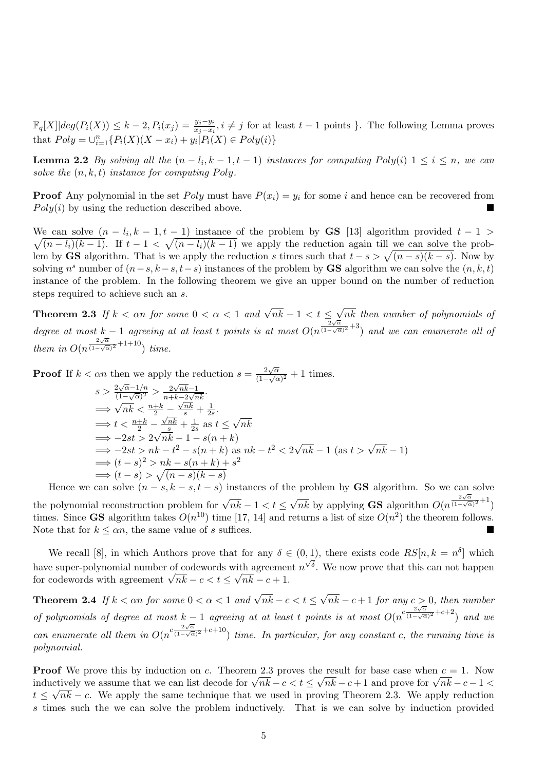$\mathbb{F}_q[X] | deg(P_i(X)) \leq k-2, P_i(x_j) = \frac{y_j - y_i}{x_j - x_i}, i \neq j$  for at least  $t-1$  points }. The following Lemma proves that  $Poly = \bigcup_{i=1}^{n} \{P_i(X)(X - x_i) + y_i | P_i(X) \in Poly(i)\}\$ 

**Lemma 2.2** By solving all the  $(n - l_i, k - 1, t - 1)$  instances for computing  $Poly(i)$   $1 \le i \le n$ , we can solve the  $(n, k, t)$  instance for computing Poly.

**Proof** Any polynomial in the set Poly must have  $P(x_i) = y_i$  for some i and hence can be recovered from  $Poly(i)$  by using the reduction described above.

We can solve  $(n - l_i, k - 1, t - 1)$  instance of the problem by **GS** [13] algorithm provided  $t - 1$  $\sqrt{(n-l_i)(k-1)}$ . If  $t-1 < \sqrt{(n-l_i)(k-1)}$  we apply the reduction again till we can solve the problem by GS algorithm. That is we apply the reduction s times such that  $t - s > \sqrt{(n - s)(k - s)}$ . Now by solving  $n^s$  number of  $(n-s, k-s, t-s)$  instances of the problem by **GS** algorithm we can solve the  $(n, k, t)$ instance of the problem. In the following theorem we give an upper bound on the number of reduction steps required to achieve such an s.

**Theorem 2.3** If  $k < \alpha n$  for some  $0 < \alpha < 1$  and  $\sqrt{nk} - 1 < t \le$ √ nk then number of polynomials of degree at most k – 1 agreeing at at least t points is at most  $O(n^{\frac{2\sqrt{\alpha}}{(1-\sqrt{\alpha})}})$  $\frac{2\sqrt{\alpha}}{(1-\sqrt{\alpha})^2}+3$  and we can enumerate all of them in  $O(n^{\frac{2\sqrt{\alpha}}{(1-\sqrt{\alpha}})}$  $\frac{2\sqrt{\alpha}}{(1-\sqrt{\alpha})^2}+1+10$ ) time.

**Proof** If  $k < \alpha n$  then we apply the reduction  $s = \frac{2\sqrt{\alpha}}{\sqrt{n}}$  $\frac{2\sqrt{\alpha}}{(1-\sqrt{\alpha})^2}+1$  times.

$$
s > \frac{2\sqrt{\alpha}-1/n}{(1-\sqrt{\alpha})^2} > \frac{2\sqrt{nk}-1}{n+k-2\sqrt{nk}}.
$$
  
\n
$$
\implies \sqrt{nk} < \frac{n+k}{2} - \frac{\sqrt{nk}}{s} + \frac{1}{2s}.
$$
  
\n
$$
\implies t < \frac{n+k}{2} - \frac{\sqrt{nk}}{s} + \frac{1}{2s} \text{ as } t \le \sqrt{nk}
$$
  
\n
$$
\implies -2st > 2\sqrt{nk} - 1 - s(n+k)
$$
  
\n
$$
\implies -2st > nk - t^2 - s(n+k) \text{ as } nk - t^2 < 2\sqrt{nk} - 1 \text{ (as } t > \sqrt{nk} - 1)
$$
  
\n
$$
\implies (t-s)^2 > nk - s(n+k) + s^2
$$
  
\n
$$
\implies (t-s) > \sqrt{(n-s)(k-s)}
$$

Hence we can solve  $(n - s, k - s, t - s)$  instances of the problem by **GS** algorithm. So we can solve the polynomial reconstruction problem for  $\sqrt{nk} - 1 < t \leq$ √  $nk$  by applying **GS** algorithm  $O(n^{\frac{2\sqrt{\alpha}}{(1-\sqrt{\alpha}})})$  $\frac{2\sqrt{\alpha}}{(1-\sqrt{\alpha})^2}+1$ times. Since **GS** algorithm takes  $O(n^{10})$  time [17, 14] and returns a list of size  $O(n^2)$  the theorem follows. Note that for  $k \leq \alpha n$ , the same value of s suffices.

We recall [8], in which Authors prove that for any  $\delta \in (0,1)$ , there exists code  $RS[n, k = n^{\delta}]$  which have super-polynomial number of codewords with agreement  $n^{\sqrt{\delta}}$ . We now prove that this can not happen have super-polynomial number of codewords with agreement  $\sqrt{n}k - c < t \leq \sqrt{n}k - c + 1$ .

**Theorem 2.4** If  $k < \alpha n$  for some  $0 < \alpha < 1$  and  $\sqrt{nk} - c < t \le$ √  $nk - c + 1$  for any  $c > 0$ , then number of polynomials of degree at most  $k - 1$  agreeing at at least t points is at most  $O(n^{c\frac{2\sqrt{\alpha}}{(1-\sqrt{\alpha})}})$  $\frac{2\sqrt{\alpha}}{(1-\sqrt{\alpha})^2}+c+2$  and we can enumerate all them in  $O(n^{c\frac{2\sqrt{\alpha}}{(1-\sqrt{\alpha})}})$  $\frac{2\sqrt{\alpha}}{(1-\sqrt{\alpha})^2}+c+10$  time. In particular, for any constant c, the running time is polynomial.

**Proof** We prove this by induction on c. Theorem 2.3 proves the result for base case when  $c = 1$ . Now **Proof** We prove this by induction on c. Theorem 2.3 proves the result for base case when  $c = 1$ . Now inductively we assume that we can list decode for  $\sqrt{nk} - c < t \le \sqrt{nk} - c + 1$  and prove for  $\sqrt{nk} - c - 1 <$  $t \leq \sqrt{n}k - c$ . We apply the same technique that we used in proving Theorem 2.3. We apply reduction s times such the we can solve the problem inductively. That is we can solve by induction provided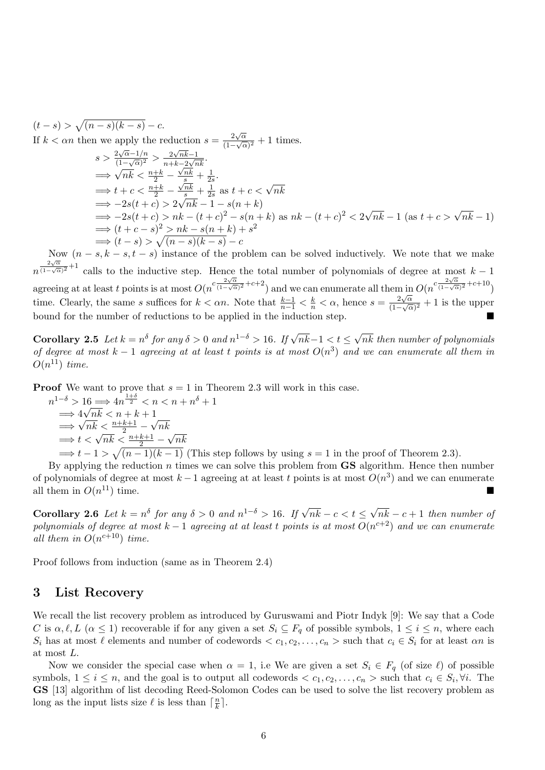$$
(t-s) > \sqrt{(n-s)(k-s)} - c.
$$
  
\nIf  $k < \alpha n$  then we apply the reduction  $s = \frac{2\sqrt{\alpha}}{(1-\sqrt{\alpha})^2} + 1$  times.  
\n
$$
s > \frac{2\sqrt{\alpha}-1/n}{(1-\sqrt{\alpha})^2} > \frac{2\sqrt{n}k-1}{n+k-2\sqrt{n}k}.
$$
  
\n
$$
\implies \sqrt{n}k < \frac{n+k}{2} - \frac{\sqrt{n}k}{s} + \frac{1}{2s}.
$$
  
\n
$$
\implies t + c < \frac{n+k}{2} - \frac{\sqrt{n}k}{s} + \frac{1}{2s} \text{ as } t + c < \sqrt{n}k
$$
  
\n
$$
\implies -2s(t+c) > 2\sqrt{n}k - 1 - s(n+k)
$$
  
\n
$$
\implies -2s(t+c) > nk - (t+c)^2 - s(n+k) \text{ as } nk - (t+c)^2 < 2\sqrt{nk} - 1 \text{ (as } t+c > \sqrt{nk} - 1)
$$
  
\n
$$
\implies (t+c-s)^2 > nk - s(n+k) + s^2
$$
  
\n
$$
\implies (t-s) > \sqrt{(n-s)(k-s)} - c
$$

Now  $(n - s, k - s, t - s)$  instance of the problem can be solved inductively. We note that we make  $n^{\frac{2\sqrt{\alpha}}{(1-\sqrt{\alpha}}}$  $\frac{2\sqrt{\alpha}}{(1-\sqrt{\alpha})^2}+1$  calls to the inductive step. Hence the total number of polynomials of degree at most  $k-1$ agreeing at at least t points is at most  $O(n^{c\frac{2\sqrt{\alpha}}{(1-\sqrt{\alpha})}})$  $\frac{2\sqrt{\alpha}}{(1-\sqrt{\alpha})^2}+c+2$ ) and we can enumerate all them in  $O(n^{c\frac{2\sqrt{\alpha}}{(1-\sqrt{\alpha})^2}})$  $\frac{2\sqrt{\alpha}}{(1-\sqrt{\alpha})^2}+c+10$ time. Clearly, the same s suffices for  $k < \alpha n$ . Note that  $\frac{k-1}{n-1} < \frac{k}{n} < \alpha$ , hence  $s = \frac{2\sqrt{\alpha}}{(1-\sqrt{c})^2}$  $\frac{2\sqrt{\alpha}}{(1-\sqrt{\alpha})^2}+1$  is the upper bound for the number of reductions to be applied in the induction step.

Corollary 2.5 Let  $k = n^{\delta}$  for any  $\delta > 0$  and  $n^{1-\delta} > 16$ . If  $\sqrt{nk} - 1 < t \leq$ √ nk then number of polynomials of degree at most  $k-1$  agreeing at at least t points is at most  $O(n^3)$  and we can enumerate all them in  $O(n^{11})$  time.

**Proof** We want to prove that  $s = 1$  in Theorem 2.3 will work in this case.

$$
n^{1-\delta} > 16 \Longrightarrow 4n^{\frac{1+\delta}{2}} < n < n + n^{\delta} + 1
$$
  
\n
$$
\Longrightarrow 4\sqrt{nk} < n + k + 1
$$
  
\n
$$
\Longrightarrow \sqrt{nk} < \frac{n+k+1}{2} - \sqrt{nk}
$$
  
\n
$$
\Longrightarrow t < \sqrt{nk} < \frac{n+k+1}{2} - \sqrt{nk}
$$
  
\n
$$
\Longrightarrow t - 1 > \sqrt{(n-1)(k-1)}
$$
 (This step follows by using  $s = 1$  in the proof of Theorem 2.3).

By applying the reduction  $n$  times we can solve this problem from  $\mathbf{GS}$  algorithm. Hence then number of polynomials of degree at most  $k-1$  agreeing at at least t points is at most  $O(n^3)$  and we can enumerate all them in  $O(n^{11})$  time.  $^{11}$ ) time.

Corollary 2.6 Let  $k = n^{\delta}$  for any  $\delta > 0$  and  $n^{1-\delta} > 16$ . If  $\sqrt{nk} - c < t \leq$ √  $nk - c + 1$  then number of polynomials of degree at most  $k-1$  agreeing at at least t points is at most  $O(n^{c+2})$  and we can enumerate all them in  $O(n^{c+10})$  time.

Proof follows from induction (same as in Theorem 2.4)

# 3 List Recovery

We recall the list recovery problem as introduced by Guruswami and Piotr Indyk [9]: We say that a Code C is  $\alpha, \ell, L \ (\alpha \leq 1)$  recoverable if for any given a set  $S_i \subseteq F_q$  of possible symbols,  $1 \leq i \leq n$ , where each  $S_i$  has at most  $\ell$  elements and number of codewords  $\langle c_1, c_2, \ldots, c_n \rangle$  such that  $c_i \in S_i$  for at least  $\alpha n$  is at most L.

Now we consider the special case when  $\alpha = 1$ , i.e We are given a set  $S_i \in F_q$  (of size  $\ell$ ) of possible symbols,  $1 \leq i \leq n$ , and the goal is to output all codewords  $\langle c_1, c_2, \ldots, c_n \rangle$  such that  $c_i \in S_i$ ,  $\forall i$ . The GS [13] algorithm of list decoding Reed-Solomon Codes can be used to solve the list recovery problem as long as the input lists size  $\ell$  is less than  $\lceil \frac{n}{k} \rceil$  $\frac{n}{k}$ ].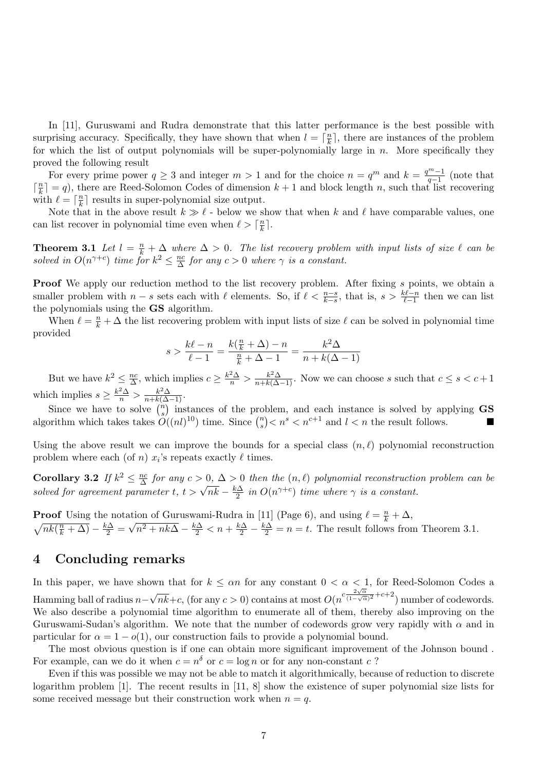In [11], Guruswami and Rudra demonstrate that this latter performance is the best possible with surprising accuracy. Specifically, they have shown that when  $l = \lceil \frac{n}{k} \rceil$  $\frac{n}{k}$ , there are instances of the problem for which the list of output polynomials will be super-polynomially large in  $n$ . More specifically they proved the following result

For every prime power  $q \geq 3$  and integer  $m > 1$  and for the choice  $n = q^m$  and  $k = \frac{q^{m-1}}{q-1}$  $\frac{q^{m}-1}{q-1}$  (note that  $\lceil \frac{n}{k} \rceil$  $\lfloor \frac{n}{k} \rfloor = q$ ), there are Reed-Solomon Codes of dimension  $k + 1$  and block length n, such that list recovering with  $\ell = \lceil \frac{n}{k} \rceil$  $\frac{n}{k}$  results in super-polynomial size output.

Note that in the above result  $k \gg \ell$  - below we show that when k and  $\ell$  have comparable values, one can list recover in polynomial time even when  $\ell > \lceil \frac{n}{k} \rceil$  $\frac{n}{k}$ ].

**Theorem 3.1** Let  $l = \frac{n}{k} + \Delta$  where  $\Delta > 0$ . The list recovery problem with input lists of size  $\ell$  can be solved in  $O(n^{\gamma+c})$  time for  $k^2 \leq \frac{nc}{\Delta}$  $\frac{nc}{\Delta}$  for any  $c > 0$  where  $\gamma$  is a constant.

Proof We apply our reduction method to the list recovery problem. After fixing s points, we obtain a smaller problem with  $n - s$  sets each with  $\ell$  elements. So, if  $\ell < \frac{n-s}{k-s}$ , that is,  $s > \frac{k\ell-n}{\ell-1}$  then we can list the polynomials using the GS algorithm.

When  $\ell = \frac{n}{k} + \Delta$  the list recovering problem with input lists of size  $\ell$  can be solved in polynomial time provided

$$
s > \frac{k\ell - n}{\ell - 1} = \frac{k(\frac{n}{k} + \Delta) - n}{\frac{n}{k} + \Delta - 1} = \frac{k^2 \Delta}{n + k(\Delta - 1)}
$$

But we have  $k^2 \leq \frac{nc}{\Delta}$  $\frac{hc}{\Delta}$ , which implies  $c \geq \frac{k^2 \Delta}{n} > \frac{k^2 \Delta}{n+k(\Delta-1)}$ . Now we can choose s such that  $c \leq s < c+1$ which implies  $s \geq \frac{k^2 \Delta}{n} > \frac{k^2 \Delta}{n + k(\Delta - 1)}$ .

Since we have to solve  $\binom{n}{s}$  $s$ ) instances of the problem, and each instance is solved by applying  $\text{GS}$ algorithm which takes takes  $O((nl)^{10})$  time. Since  $\binom{n}{s}$  $s<sup>n</sup>$  s is  $n<sup>s</sup>$  and  $l < n$  the result follows.

Using the above result we can improve the bounds for a special class  $(n, \ell)$  polynomial reconstruction problem where each (of *n*)  $x_i$ 's repeats exactly  $\ell$  times.

Corollary 3.2 If  $k^2 \leq \frac{nc}{\Delta}$ **Corollary 3.2** If  $k^2 \leq \frac{nc}{\Delta}$  for any  $c > 0$ ,  $\Delta > 0$  then the  $(n, \ell)$  polynomial reconstruction problem can be solved for agreement parameter  $t, t > \sqrt{nk} - \frac{k\Delta}{2}$  in  $O(n^{\gamma+c})$  time where  $\gamma$  is a constant.  $\frac{1}{2}$  in  $O(n^{\gamma+c})$  time where  $\gamma$  is a constant.

**Proof** Using the notation of Guruswami-Rudra in [11] (Page 6), and using  $\ell = \frac{n}{k} + \Delta$ ,  $\sqrt{nk(\frac{n}{k}+\Delta)}-\frac{k\Delta}{2}=$ ر∪<br>⁄  $\sqrt{n^2 + nk\Delta} - \frac{k\Delta}{2} < n + \frac{k\Delta}{2} - \frac{k\Delta}{2} = n = t$ . The result follows from Theorem 3.1.

# 4 Concluding remarks

In this paper, we have shown that for  $k \leq \alpha n$  for any constant  $0 < \alpha < 1$ , for Reed-Solomon Codes a Hamming ball of radius n− √  $\frac{2\sqrt{\alpha}}{nk}+c$ , (for any  $c>0$ ) contains at most  $O(n^{c\frac{2\sqrt{\alpha}}{(1-\sqrt{\alpha})}})$  $\frac{2\sqrt{\alpha}}{(1-\sqrt{\alpha})^2}+c+2$ ) number of codewords. We also describe a polynomial time algorithm to enumerate all of them, thereby also improving on the Guruswami-Sudan's algorithm. We note that the number of codewords grow very rapidly with  $\alpha$  and in particular for  $\alpha = 1 - o(1)$ , our construction fails to provide a polynomial bound.

The most obvious question is if one can obtain more significant improvement of the Johnson bound . For example, can we do it when  $c = n^{\delta}$  or  $c = \log n$  or for any non-constant c?

Even if this was possible we may not be able to match it algorithmically, because of reduction to discrete logarithm problem [1]. The recent results in [11, 8] show the existence of super polynomial size lists for some received message but their construction work when  $n = q$ .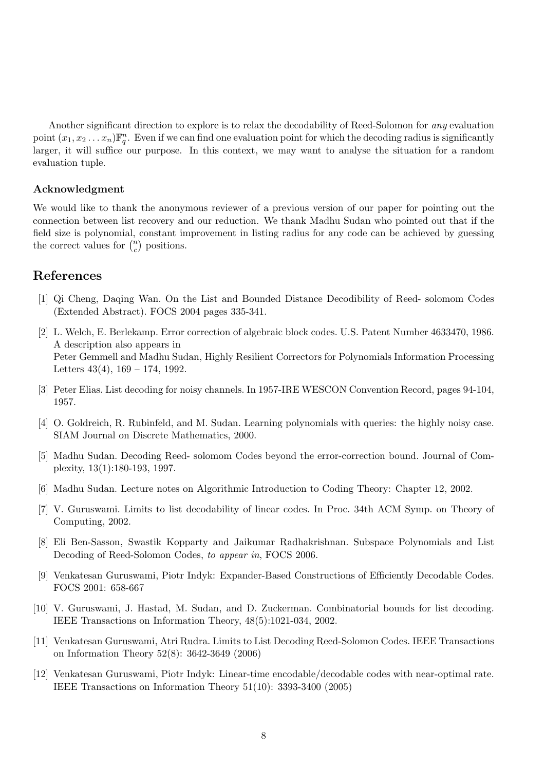Another significant direction to explore is to relax the decodability of Reed-Solomon for any evaluation point  $(x_1, x_2... x_n) \mathbb{F}_q^n$ . Even if we can find one evaluation point for which the decoding radius is significantly larger, it will suffice our purpose. In this context, we may want to analyse the situation for a random evaluation tuple.

### Acknowledgment

We would like to thank the anonymous reviewer of a previous version of our paper for pointing out the connection between list recovery and our reduction. We thank Madhu Sudan who pointed out that if the field size is polynomial, constant improvement in listing radius for any code can be achieved by guessing the correct values for  $\binom{n}{c}$  $c \choose c$  positions.

# References

- [1] Qi Cheng, Daqing Wan. On the List and Bounded Distance Decodibility of Reed- solomom Codes (Extended Abstract). FOCS 2004 pages 335-341.
- [2] L. Welch, E. Berlekamp. Error correction of algebraic block codes. U.S. Patent Number 4633470, 1986. A description also appears in Peter Gemmell and Madhu Sudan, Highly Resilient Correctors for Polynomials Information Processing Letters  $43(4)$ ,  $169 - 174$ , 1992.
- [3] Peter Elias. List decoding for noisy channels. In 1957-IRE WESCON Convention Record, pages 94-104, 1957.
- [4] O. Goldreich, R. Rubinfeld, and M. Sudan. Learning polynomials with queries: the highly noisy case. SIAM Journal on Discrete Mathematics, 2000.
- [5] Madhu Sudan. Decoding Reed- solomom Codes beyond the error-correction bound. Journal of Complexity, 13(1):180-193, 1997.
- [6] Madhu Sudan. Lecture notes on Algorithmic Introduction to Coding Theory: Chapter 12, 2002.
- [7] V. Guruswami. Limits to list decodability of linear codes. In Proc. 34th ACM Symp. on Theory of Computing, 2002.
- [8] Eli Ben-Sasson, Swastik Kopparty and Jaikumar Radhakrishnan. Subspace Polynomials and List Decoding of Reed-Solomon Codes, to appear in, FOCS 2006.
- [9] Venkatesan Guruswami, Piotr Indyk: Expander-Based Constructions of Efficiently Decodable Codes. FOCS 2001: 658-667
- [10] V. Guruswami, J. Hastad, M. Sudan, and D. Zuckerman. Combinatorial bounds for list decoding. IEEE Transactions on Information Theory, 48(5):1021-034, 2002.
- [11] Venkatesan Guruswami, Atri Rudra. Limits to List Decoding Reed-Solomon Codes. IEEE Transactions on Information Theory 52(8): 3642-3649 (2006)
- [12] Venkatesan Guruswami, Piotr Indyk: Linear-time encodable/decodable codes with near-optimal rate. IEEE Transactions on Information Theory 51(10): 3393-3400 (2005)